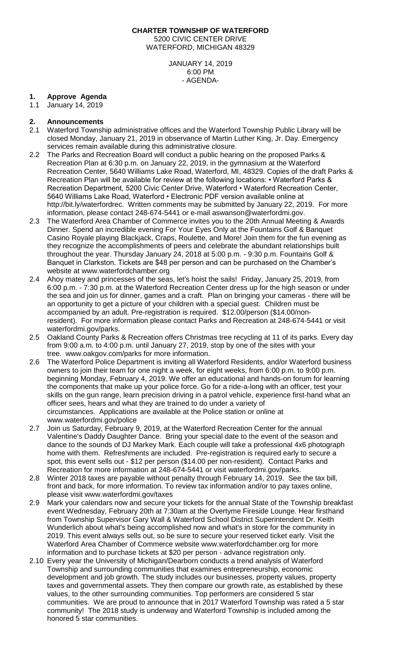## **CHARTER TOWNSHIP OF WATERFORD** 5200 CIVIC CENTER DRIVE WATERFORD, MICHIGAN 48329

JANUARY 14, 2019 6:00 PM - AGENDA-

# **1. Approve Agenda**

1.1 January 14, 2019

### **2. Announcements**

- 2.1 Waterford Township administrative offices and the Waterford Township Public Library will be closed Monday, January 21, 2019 in observance of Martin Luther King, Jr. Day. Emergency services remain available during this administrative closure.
- 2.2 The Parks and Recreation Board will conduct a public hearing on the proposed Parks & Recreation Plan at 6:30 p.m. on January 22, 2019, in the gymnasium at the Waterford Recreation Center, 5640 Williams Lake Road, Waterford, MI, 48329. Copies of the draft Parks & Recreation Plan will be available for review at the following locations: • Waterford Parks & Recreation Department, 5200 Civic Center Drive, Waterford • Waterford Recreation Center, 5640 Williams Lake Road, Waterford • Electronic PDF version available online at http://bit.ly/waterfordrec. Written comments may be submitted by January 22, 2019. For more information, please contact 248-674-5441 or e-mail [aswanson@waterfordmi.gov.](mailto:aswanson@waterfordmi.gov)
- 2.3 The Waterford Area Chamber of Commerce invites you to the 20th Annual Meeting & Awards Dinner. Spend an incredible evening For Your Eyes Only at the Fountains Golf & Banquet Casino Royale playing Blackjack, Craps, Roulette, and More! Join them for the fun evening as they recognize the accomplishments of peers and celebrate the abundant relationships built throughout the year. Thursday January 24, 2018 at 5:00 p.m. - 9:30 p.m. Fountains Golf & Banquet in Clarkston. Tickets are \$48 per person and can be purchased on the Chamber's website at [www.waterfordchamber.org](http://www.waterfordchamber.org/)
- 2.4 Ahoy matey and princesses of the seas, let's hoist the sails! Friday, January 25, 2019, from 6:00 p.m. - 7:30 p.m. at the Waterford Recreation Center dress up for the high season or under the sea and join us for dinner, games and a craft. Plan on bringing your cameras - there will be an opportunity to get a picture of your children with a special guest. Children must be accompanied by an adult. Pre-registration is required. \$12.00/person (\$14.00/nonresident). For more information please contact Parks and Recreation at 248-674-5441 or visit waterfordmi.gov/parks.
- 2.5 Oakland County Parks & Recreation offers Christmas tree recycling at 11 of its parks. Every day from 9:00 a.m. to 4:00 p.m. until January 27, 2019, stop by one of the sites with your tree. www.oakgov.com/parks for more information.
- 2.6 The Waterford Police Department is inviting all Waterford Residents, and/or Waterford business owners to join their team for one night a week, for eight weeks, from 6:00 p.m. to 9:00 p.m. beginning Monday, February 4, 2019. We offer an educational and hands-on forum for learning the components that make up your police force. Go for a ride-a-long with an officer, test your skills on the gun range, learn precision driving in a patrol vehicle, experience first-hand what an officer sees, hears and what they are trained to do under a variety of circumstances. Applications are available at the Police station or online at www.waterfordmi.gov/police
- 2.7 Join us Saturday, February 9, 2019, at the Waterford Recreation Center for the annual Valentine's Daddy Daughter Dance. Bring your special date to the event of the season and dance to the sounds of DJ Markey Mark. Each couple will take a professional 4x6 photograph home with them. Refreshments are included. Pre-registration is required early to secure a spot, this event sells out - \$12 per person (\$14.00 per non-resident). Contact Parks and Recreation for more information at 248-674-5441 or visit waterfordmi.gov/parks.
- 2.8 Winter 2018 taxes are payable without penalty through February 14, 2019. See the tax bill, front and back, for more information. To review tax information and/or to pay taxes online, please visit [www.waterfordmi.gov/taxes](http://www.waterfordmi.gov/taxes)
- 2.9 Mark your calendars now and secure your tickets for the annual State of the Township breakfast event Wednesday, February 20th at 7:30am at the Overtyme Fireside Lounge. Hear firsthand from Township Supervisor Gary Wall & Waterford School District Superintendent Dr. Keith Wunderlich about what's being accomplished now and what's in store for the community in 2019. This event always sells out, so be sure to secure your reserved ticket early. Visit the Waterford Area Chamber of Commerce website www.waterfordchamber.org for more information and to purchase tickets at \$20 per person - advance registration only.
- 2.10 Every year the University of Michigan/Dearborn conducts a trend analysis of Waterford Township and surrounding communities that examines entrepreneurship, economic development and job growth. The study includes our businesses, property values, property taxes and governmental assets. They then compare our growth rate, as established by these values, to the other surrounding communities. Top performers are considered 5 star communities. We are proud to announce that in 2017 Waterford Township was rated a 5 star community! The 2018 study is underway and Waterford Township is included among the honored 5 star communities.